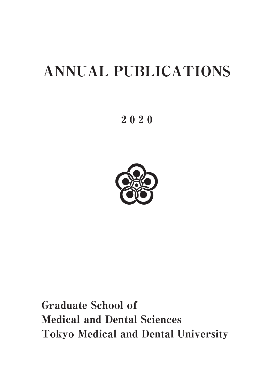# ANNUAL PUBLICATIONS

2 0 2 0



Graduate School of Medical and Dental Sciences Tokyo Medical and Dental University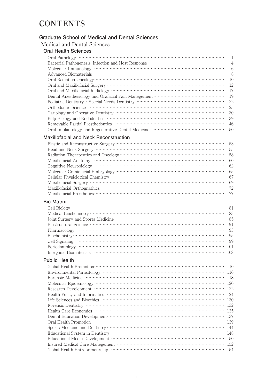# **CONTENTS**

#### **Graduate School of Medical and Dental Sciences**

#### Medical and Dental Sciences

#### **Oral Health Sciences**

|                                                                                                    | $\overline{4}$ |
|----------------------------------------------------------------------------------------------------|----------------|
|                                                                                                    | 6              |
|                                                                                                    | 8              |
|                                                                                                    | 10             |
|                                                                                                    | 12             |
|                                                                                                    | 17             |
|                                                                                                    | 19             |
| Pediatric Dentistry / Special Needs Dentistry ……………………………………………………………………………………………                  | 22             |
|                                                                                                    | 25             |
|                                                                                                    | 30             |
|                                                                                                    | 39             |
|                                                                                                    | 46             |
| Oral Implantology and Regenerative Dental Medicine manufacturers and increase of the United States | 50             |

#### **Maxillofacial and Neck Reconstruction**

#### **Bio-Matrix**

#### **Public Health**

| Global Health Promotion (110) 110                                                                                                                                                                                                                                                                                                                                                                                                                                                                                                                                               |
|---------------------------------------------------------------------------------------------------------------------------------------------------------------------------------------------------------------------------------------------------------------------------------------------------------------------------------------------------------------------------------------------------------------------------------------------------------------------------------------------------------------------------------------------------------------------------------|
| $\begin{minipage}{0.9\linewidth} \textbf{Evirionmental Prasitology} \end{minipage} \begin{minipage}{0.9\linewidth} \textbf{Proensic Medicine} \end{minipage} \begin{minipage}{0.9\linewidth} \textbf{Proresic Medicine} \end{minipage} \begin{minipage}{0.9\linewidth} \textbf{Proresic Medicine} \end{minipage} \begin{minipage}{0.9\linewidth} \textbf{Proresic Medicine} \end{minipage} \begin{minipage}{0.9\linewidth} \textbf{Proresic Medicine} \end{minipage} \begin{minipage}{0.9\linewidth} \textbf{Proresic Medicine} \end{minipage} \begin{minipage}{0.9\linewidth}$ |
|                                                                                                                                                                                                                                                                                                                                                                                                                                                                                                                                                                                 |
|                                                                                                                                                                                                                                                                                                                                                                                                                                                                                                                                                                                 |
|                                                                                                                                                                                                                                                                                                                                                                                                                                                                                                                                                                                 |
| Health Policy and Informatics www.www.www.www.www.www.www.ww.u24                                                                                                                                                                                                                                                                                                                                                                                                                                                                                                                |
|                                                                                                                                                                                                                                                                                                                                                                                                                                                                                                                                                                                 |
| Forensic Dentistry (2000) 132<br>Health Care Economics (2000) 135                                                                                                                                                                                                                                                                                                                                                                                                                                                                                                               |
|                                                                                                                                                                                                                                                                                                                                                                                                                                                                                                                                                                                 |
| Dental Education Development…………………………………………………………………………… 137                                                                                                                                                                                                                                                                                                                                                                                                                                                                                                                   |
| Oral Health Promotion (139) 139                                                                                                                                                                                                                                                                                                                                                                                                                                                                                                                                                 |
|                                                                                                                                                                                                                                                                                                                                                                                                                                                                                                                                                                                 |
|                                                                                                                                                                                                                                                                                                                                                                                                                                                                                                                                                                                 |
|                                                                                                                                                                                                                                                                                                                                                                                                                                                                                                                                                                                 |
|                                                                                                                                                                                                                                                                                                                                                                                                                                                                                                                                                                                 |
|                                                                                                                                                                                                                                                                                                                                                                                                                                                                                                                                                                                 |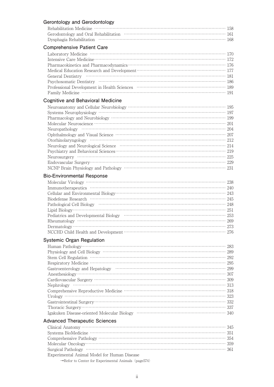| Gerontology and Gerodontology                                                                                  |  |
|----------------------------------------------------------------------------------------------------------------|--|
|                                                                                                                |  |
| Gerodontology and Oral Rehabilitation (1999) (1999) (1999) (1999) (1999) (1999) (1999) (1999) (1999) (1999) (1 |  |
|                                                                                                                |  |
| <b>Comprehensive Patient Care</b>                                                                              |  |
|                                                                                                                |  |
|                                                                                                                |  |
|                                                                                                                |  |
| Medical Education Research and Development (177) 277                                                           |  |
|                                                                                                                |  |
|                                                                                                                |  |
| Professional Development in Health Sciences Material Assembly 189                                              |  |
|                                                                                                                |  |
| <b>Cognitive and Behavioral Medicine</b>                                                                       |  |
|                                                                                                                |  |
|                                                                                                                |  |
|                                                                                                                |  |
|                                                                                                                |  |
|                                                                                                                |  |
|                                                                                                                |  |
|                                                                                                                |  |
|                                                                                                                |  |
|                                                                                                                |  |
|                                                                                                                |  |
|                                                                                                                |  |
|                                                                                                                |  |
|                                                                                                                |  |
| <b>Bio-Environmental Response</b>                                                                              |  |
|                                                                                                                |  |
|                                                                                                                |  |
|                                                                                                                |  |
|                                                                                                                |  |
|                                                                                                                |  |
|                                                                                                                |  |
|                                                                                                                |  |
|                                                                                                                |  |
|                                                                                                                |  |
|                                                                                                                |  |
| <b>Systemic Organ Regulation</b>                                                                               |  |
|                                                                                                                |  |
|                                                                                                                |  |
|                                                                                                                |  |
|                                                                                                                |  |
|                                                                                                                |  |
|                                                                                                                |  |
|                                                                                                                |  |
|                                                                                                                |  |
|                                                                                                                |  |
| Urology $\cdots$ 323                                                                                           |  |
|                                                                                                                |  |
|                                                                                                                |  |
|                                                                                                                |  |
| <b>Advanced Therapeutic Sciences</b>                                                                           |  |
|                                                                                                                |  |
|                                                                                                                |  |
|                                                                                                                |  |
|                                                                                                                |  |
|                                                                                                                |  |
| Experimental Animal Model for Human Disease                                                                    |  |

 $\rightarrow$  Refor to Center for Experimental Animals (page<br>574)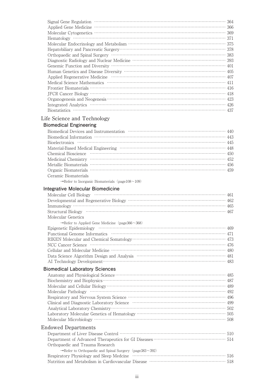| Signal Gene Regulation 364<br>Applied Gene Medicine 366           |     |
|-------------------------------------------------------------------|-----|
|                                                                   |     |
|                                                                   | 371 |
|                                                                   |     |
|                                                                   |     |
|                                                                   |     |
|                                                                   |     |
| Genemic Function and Diversity ……………………………………………………………………………… 401 |     |
|                                                                   |     |
|                                                                   |     |
|                                                                   |     |
|                                                                   |     |
|                                                                   |     |
|                                                                   |     |
|                                                                   |     |
|                                                                   |     |
|                                                                   |     |

### Life Science and Technology

## **Biomedical Engineering**

| Bioelectronics $\cdots$ 445                                                  |
|------------------------------------------------------------------------------|
|                                                                              |
| Chemical Bioscience manufactured contain the control of the state of the 450 |
| Medicinal Chemistry …………………………………………………………………………………… 452                     |
|                                                                              |
|                                                                              |
| Ceramic Biomaterials                                                         |

 $\rightarrow$  Refer to Inorganic Biomaterials (page<br>108 $\sim\!109)$ 

#### **Integrative Molecular Biomedicine**

| Molecular Genetics                                                        |  |
|---------------------------------------------------------------------------|--|
| $\rightarrow$ Potor to Applied Cano Modicing (page 266 $\rightarrow$ 268) |  |

| $\rightarrow$ Refer to Applied Gene Medicine (page366 $\sim$ 368) |  |
|-------------------------------------------------------------------|--|
|                                                                   |  |
|                                                                   |  |
|                                                                   |  |
|                                                                   |  |
|                                                                   |  |
|                                                                   |  |
|                                                                   |  |
|                                                                   |  |

#### **Biomedical Laboratory Sciences**

| Molecular Pathology (and according to the 492) and the 492 |  |
|------------------------------------------------------------|--|
|                                                            |  |
|                                                            |  |
|                                                            |  |
|                                                            |  |
|                                                            |  |
| <b>Endowed Departments</b>                                 |  |
|                                                            |  |
|                                                            |  |

| Orthopaedic and Trauma Research                                        |  |
|------------------------------------------------------------------------|--|
| $\rightarrow$ Refer to Orthopaedic and Spinal Surgery (page 383 ~ 392) |  |
|                                                                        |  |
|                                                                        |  |